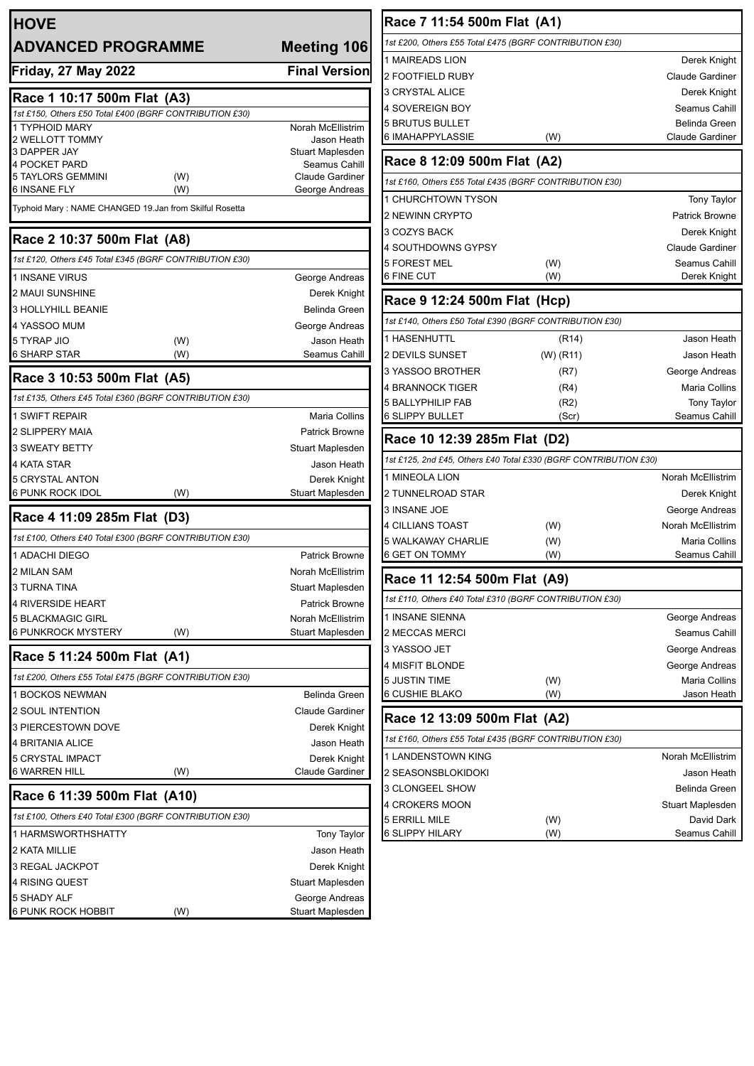| <b>HOVE</b>                                                                            |                      |                                       |
|----------------------------------------------------------------------------------------|----------------------|---------------------------------------|
| <b>ADVANCED PROGRAMME</b>                                                              | <b>Meeting 106</b>   |                                       |
| <b>Friday, 27 May 2022</b>                                                             | <b>Final Version</b> |                                       |
| Race 1 10:17 500m Flat (A3)                                                            |                      |                                       |
| 1st £150, Others £50 Total £400 (BGRF CONTRIBUTION £30)                                |                      |                                       |
| 1 TYPHOID MARY<br>2 WELLOTT TOMMY                                                      |                      | Norah McEllistrim<br>Jason Heath      |
| 3 DAPPER JAY                                                                           |                      | Stuart Maplesden                      |
| <b>4 POCKET PARD</b>                                                                   |                      | Seamus Cahill                         |
| <b>5 TAYLORS GEMMINI</b><br>6 INSANE FLY                                               | (W)                  | Claude Gardiner                       |
| Typhoid Mary: NAME CHANGED 19.Jan from Skilful Rosetta                                 | (W)                  | George Andreas                        |
|                                                                                        |                      |                                       |
| Race 2 10:37 500m Flat (A8)<br>1st £120, Others £45 Total £345 (BGRF CONTRIBUTION £30) |                      |                                       |
| <b>1 INSANE VIRUS</b>                                                                  |                      | George Andreas                        |
| 2 MAUI SUNSHINE                                                                        |                      | Derek Knight                          |
| <b>3 HOLLYHILL BEANIE</b>                                                              |                      | <b>Belinda Green</b>                  |
| 4 YASSOO MUM                                                                           |                      | George Andreas                        |
| 5 TYRAP JIO                                                                            | (W)                  | Jason Heath                           |
| <b>6 SHARP STAR</b>                                                                    | (W)                  | Seamus Cahill                         |
| Race 3 10:53 500m Flat (A5)                                                            |                      |                                       |
| 1st £135, Others £45 Total £360 (BGRF CONTRIBUTION £30)                                |                      |                                       |
| <b>1 SWIFT REPAIR</b>                                                                  |                      | Maria Collins                         |
| 2 SLIPPERY MAIA                                                                        |                      | <b>Patrick Browne</b>                 |
| <b>3 SWEATY BETTY</b>                                                                  |                      | Stuart Maplesden                      |
| 4 KATA STAR                                                                            |                      | Jason Heath                           |
| <b>5 CRYSTAL ANTON</b>                                                                 |                      | Derek Knight                          |
| 6 PUNK ROCK IDOL                                                                       | (W)                  | Stuart Maplesden                      |
| Race 4 11:09 285m Flat (D3)                                                            |                      |                                       |
| 1st £100, Others £40 Total £300 (BGRF CONTRIBUTION £30)                                |                      |                                       |
| 1 ADACHI DIEGO                                                                         |                      | <b>Patrick Browne</b>                 |
| 2 MILAN SAM                                                                            |                      | Norah McEllistrim                     |
| 3 TURNA TINA                                                                           |                      | Stuart Maplesden                      |
| <b>4 RIVERSIDE HEART</b>                                                               |                      | <b>Patrick Browne</b>                 |
| <b>5 BLACKMAGIC GIRL</b><br>6 PUNKROCK MYSTERY                                         | (W)                  | Norah McEllistrim<br>Stuart Maplesden |
| Race 5 11:24 500m Flat (A1)                                                            |                      |                                       |
| 1st £200, Others £55 Total £475 (BGRF CONTRIBUTION £30)                                |                      |                                       |
| <b>1 BOCKOS NEWMAN</b>                                                                 |                      | Belinda Green                         |
| <b>2 SOUL INTENTION</b>                                                                |                      |                                       |
| <b>3 PIERCESTOWN DOVE</b>                                                              |                      | Derek Knight                          |
| 4 BRITANIA ALICE                                                                       |                      | Jason Heath                           |
| 5 CRYSTAL IMPACT                                                                       |                      | Derek Knight                          |
| <b>6 WARREN HILL</b>                                                                   | (W)                  | Claude Gardiner                       |
| Race 6 11:39 500m Flat (A10)                                                           |                      |                                       |
| 1st £100, Others £40 Total £300 (BGRF CONTRIBUTION £30)                                |                      |                                       |
| 1 HARMSWORTHSHATTY                                                                     |                      | <b>Tony Taylor</b>                    |
| 2 KATA MILLIE                                                                          |                      | Jason Heath                           |
| 3 REGAL JACKPOT                                                                        |                      | Derek Knight                          |
| 4 RISING QUEST                                                                         |                      | Stuart Maplesden                      |
| 5 SHADY ALF                                                                            |                      | George Andreas                        |
| 6 PUNK ROCK HOBBIT                                                                     | (W)                  | Stuart Maplesden                      |

| Race 7 11:54 500m Flat (A1)                                      |                        |                             |  |  |  |  |  |
|------------------------------------------------------------------|------------------------|-----------------------------|--|--|--|--|--|
| 1st £200, Others £55 Total £475 (BGRF CONTRIBUTION £30)          |                        |                             |  |  |  |  |  |
| 1 MAIREADS LION                                                  |                        | Derek Knight                |  |  |  |  |  |
| 2 FOOTFIELD RUBY                                                 | <b>Claude Gardiner</b> |                             |  |  |  |  |  |
| 3 CRYSTAL ALICE                                                  |                        | Derek Knight                |  |  |  |  |  |
| <b>4 SOVEREIGN BOY</b>                                           |                        | Seamus Cahill               |  |  |  |  |  |
| <b>5 BRUTUS BULLET</b>                                           |                        | <b>Belinda Green</b>        |  |  |  |  |  |
| 6 IMAHAPPYLASSIE                                                 | (W)                    | <b>Claude Gardiner</b>      |  |  |  |  |  |
| Race 8 12:09 500m Flat (A2)                                      |                        |                             |  |  |  |  |  |
| 1st £160, Others £55 Total £435 (BGRF CONTRIBUTION £30)          |                        |                             |  |  |  |  |  |
| 1 CHURCHTOWN TYSON                                               |                        | <b>Tony Taylor</b>          |  |  |  |  |  |
| 2 NEWINN CRYPTO                                                  |                        | <b>Patrick Browne</b>       |  |  |  |  |  |
| 3 COZYS BACK                                                     |                        | Derek Knight                |  |  |  |  |  |
| 4 SOUTHDOWNS GYPSY                                               |                        | <b>Claude Gardiner</b>      |  |  |  |  |  |
| 5 FOREST MEL                                                     | (W)                    | Seamus Cahill               |  |  |  |  |  |
| 6 FINE CUT                                                       | (W)                    | Derek Knight                |  |  |  |  |  |
| Race 9 12:24 500m Flat (Hcp)                                     |                        |                             |  |  |  |  |  |
| 1st £140, Others £50 Total £390 (BGRF CONTRIBUTION £30)          |                        |                             |  |  |  |  |  |
| 1 HASENHUTTL                                                     | (R <sub>14</sub> )     | Jason Heath                 |  |  |  |  |  |
| 2 DEVILS SUNSET                                                  | (W) (R11)              | Jason Heath                 |  |  |  |  |  |
| 3 YASSOO BROTHER                                                 | (R7)                   | George Andreas              |  |  |  |  |  |
| 4 BRANNOCK TIGER                                                 | (R4)                   | <b>Maria Collins</b>        |  |  |  |  |  |
| <b>5 BALLYPHILIP FAB</b>                                         | (R2)                   | <b>Tony Taylor</b>          |  |  |  |  |  |
| 6 SLIPPY BULLET                                                  | (Scr)                  | Seamus Cahill               |  |  |  |  |  |
|                                                                  |                        |                             |  |  |  |  |  |
| Race 10 12:39 285m Flat (D2)                                     |                        |                             |  |  |  |  |  |
| 1st £125, 2nd £45, Others £40 Total £330 (BGRF CONTRIBUTION £30) |                        |                             |  |  |  |  |  |
| 1 MINEOLA LION                                                   |                        | <b>Norah McEllistrim</b>    |  |  |  |  |  |
| 2 TUNNELROAD STAR                                                |                        | Derek Knight                |  |  |  |  |  |
| 3 INSANE JOE                                                     |                        | George Andreas              |  |  |  |  |  |
| 4 CILLIANS TOAST                                                 | (W)                    | Norah McEllistrim           |  |  |  |  |  |
| 5 WALKAWAY CHARLIE                                               | (W)                    | Maria Collins               |  |  |  |  |  |
| 6 GET ON TOMMY                                                   | (W)                    | Seamus Cahill               |  |  |  |  |  |
| Race 11 12:54 500m Flat (A9)                                     |                        |                             |  |  |  |  |  |
| 1st £110, Others £40 Total £310 (BGRF CONTRIBUTION £30)          |                        |                             |  |  |  |  |  |
| 1 INSANE SIENNA                                                  |                        | George Andreas              |  |  |  |  |  |
| 2 MECCAS MERCI                                                   |                        | Seamus Cahill               |  |  |  |  |  |
| 3 YASSOO JET                                                     |                        | George Andreas              |  |  |  |  |  |
| 4 MISFIT BLONDE                                                  |                        | George Andreas              |  |  |  |  |  |
| 5 JUSTIN TIME                                                    | (W)                    | Maria Collins               |  |  |  |  |  |
| 6 CUSHIE BLAKO                                                   | (W)                    | Jason Heath                 |  |  |  |  |  |
| Race 12 13:09 500m Flat (A2)                                     |                        |                             |  |  |  |  |  |
| 1st £160, Others £55 Total £435 (BGRF CONTRIBUTION £30)          |                        |                             |  |  |  |  |  |
| 1 LANDENSTOWN KING                                               |                        | Norah McEllistrim           |  |  |  |  |  |
| 2 SEASONSBLOKIDOKI                                               |                        | Jason Heath                 |  |  |  |  |  |
| 3 CLONGEEL SHOW                                                  |                        | Belinda Green               |  |  |  |  |  |
| 4 CROKERS MOON                                                   |                        | Stuart Maplesden            |  |  |  |  |  |
| 5 ERRILL MILE<br><b>6 SLIPPY HILARY</b>                          | (W)<br>(W)             | David Dark<br>Seamus Cahill |  |  |  |  |  |